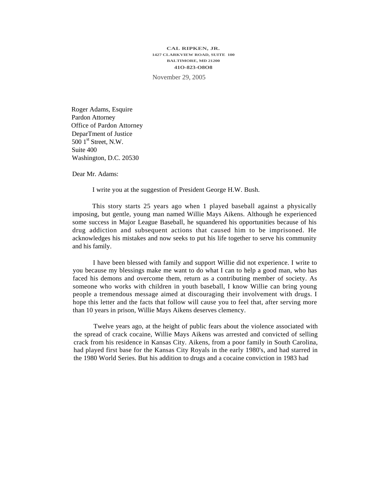## **CAL RIPKEN, JR. 1427 CLARKVIEW ROAD, SUITE 100 BALTIMORE, MD 21200 41O-823-O8O8**

November 29, 2005

Roger Adams, Esquire Pardon Attorney Office of Pardon Attorney DeparTment of Justice 500 1<sup>st</sup> Street, N.W. Suite 400 Washington, D.C. 20530

Dear Mr. Adams:

I write you at the suggestion of President George H.W. Bush.

This story starts 25 years ago when 1 played baseball against a physically imposing, but gentle, young man named Willie Mays Aikens. Although he experienced some success in Major League Baseball, he squandered his opportunities because of his drug addiction and subsequent actions that caused him to be imprisoned. He acknowledges his mistakes and now seeks to put his life together to serve his community and his family.

I have been blessed with family and support Willie did not experience. I write to you because my blessings make me want to do what I can to help a good man, who has faced his demons and overcome them, return as a contributing member of society. As someone who works with children in youth baseball, I know Willie can bring young people a tremendous message aimed at discouraging their involvement with drugs. I hope this letter and the facts that follow will cause you to feel that, after serving more than 10 years in prison, Willie Mays Aikens deserves clemency.

Twelve years ago, at the height of public fears about the violence associated with the spread of crack cocaine, Willie Mays Aikens was arrested and convicted of selling crack from his residence in Kansas City. Aikens, from a poor family in South Carolina, had played first base for the Kansas City Royals in the early 1980's, and had starred in the 1980 World Series. But his addition to drugs and a cocaine conviction in 1983 had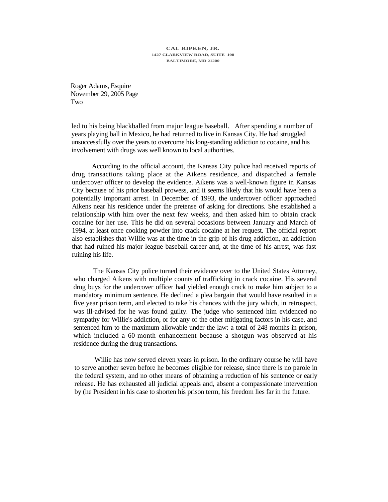## **CAL RIPKEN, JR. 1427 CLARKVIEW ROAD, SUITE 100 BALTIMORE, MD 21200**

Roger Adams, Esquire November 29, 2005 Page Two

led to his being blackballed from major league baseball. After spending a number of years playing ball in Mexico, he had returned to live in Kansas City. He had struggled unsuccessfully over the years to overcome his long-standing addiction to cocaine, and his involvement with drugs was well known to local authorities.

According to the official account, the Kansas City police had received reports of drug transactions taking place at the Aikens residence, and dispatched a female undercover officer to develop the evidence. Aikens was a well-known figure in Kansas City because of his prior baseball prowess, and it seems likely that his would have been a potentially important arrest. In December of 1993, the undercover officer approached Aikens near his residence under the pretense of asking for directions. She established a relationship with him over the next few weeks, and then asked him to obtain crack cocaine for her use. This he did on several occasions between January and March of 1994, at least once cooking powder into crack cocaine at her request. The official report also establishes that Willie was at the time in the grip of his drug addiction, an addiction that had ruined his major league baseball career and, at the time of his arrest, was fast ruining his life.

The Kansas City police turned their evidence over to the United States Attorney, who charged Aikens with multiple counts of trafficking in crack cocaine. His several drug buys for the undercover officer had yielded enough crack to make him subject to a mandatory minimum sentence. He declined a plea bargain that would have resulted in a five year prison term, and elected to take his chances with the jury which, in retrospect, was ill-advised for he was found guilty. The judge who sentenced him evidenced no sympathy for Willie's addiction, or for any of the other mitigating factors in his case, and sentenced him to the maximum allowable under the law: a total of 248 months in prison, which included a 60-month enhancement because a shotgun was observed at his residence during the drug transactions.

Willie has now served eleven years in prison. In the ordinary course he will have to serve another seven before he becomes eligible for release, since there is no parole in the federal system, and no other means of obtaining a reduction of his sentence or early release. He has exhausted all judicial appeals and, absent a compassionate intervention by (he President in his case to shorten his prison term, his freedom lies far in the future.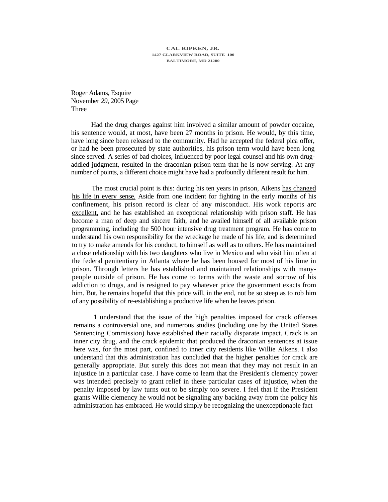**CAL RIPKEN, JR. 1427 CLARKVIEW ROAD, SUITE 100 BALTIMORE, MD 21200** 

Roger Adams, Esquire November *29,* 2005 Page Three

Had the drug charges against him involved a similar amount of powder cocaine, his sentence would, at most, have been 27 months in prison. He would, by this time, have long since been released to the community. Had he accepted the federal pica offer, or had he been prosecuted by state authorities, his prison term would have been long since served. A series of bad choices, influenced by poor legal counsel and his own drugaddled judgment, resulted in the draconian prison term that he is now serving. At any number of points, a different choice might have had a profoundly different result for him.

The most crucial point is this: during his ten years in prison, Aikens has changed his life in every sense. Aside from one incident for fighting in the early months of his confinement, his prison record is clear of any misconduct. His work reports arc excellent, and he has established an exceptional relationship with prison staff. He has become a man of deep and sincere faith, and he availed himself of all available prison programming, including the 500 hour intensive drug treatment program. He has come to understand his own responsibility for the wreckage he made of his life, and is determined to try to make amends for his conduct, to himself as well as to others. He has maintained a close relationship with his two daughters who live in Mexico and who visit him often at the federal penitentiary in Atlanta where he has been housed for most of his lime in prison. Through letters he has established and maintained relationships with manypeople outside of prison. He has come to terms with the waste and sorrow of his addiction to drugs, and is resigned to pay whatever price the government exacts from him. But, he remains hopeful that this price will, in the end, not be so steep as to rob him of any possibility of re-establishing a productive life when he leaves prison.

1 understand that the issue of the high penalties imposed for crack offenses remains a controversial one, and numerous studies (including one by the United States Sentencing Commission) have established their racially disparate impact. Crack is an inner city drug, and the crack epidemic that produced the draconian sentences at issue here was, for the most part, confined to inner city residents like Willie Aikens. I also understand that this administration has concluded that the higher penalties for crack are generally appropriate. But surely this does not mean that they may not result in an injustice in a particular case. I have come to learn that the President's clemency power was intended precisely to grant relief in these particular cases of injustice, when the penalty imposed by law turns out to be simply too severe. I feel that if the President grants Willie clemency he would not be signaling any backing away from the policy his administration has embraced. He would simply be recognizing the unexceptionable fact